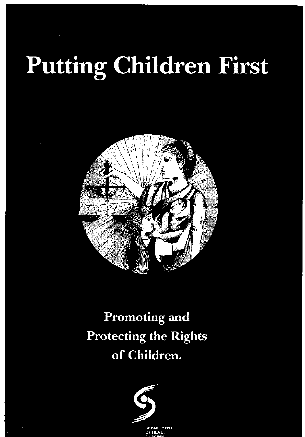# **Putting Children First**



# **Promoting and Protecting the Rights** of Children.

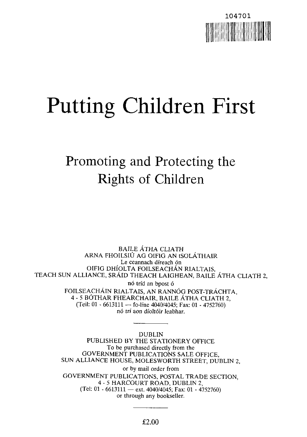

# Putting Children First

# Promoting and Protecting the Rights of Children

BAILE ATHA CLIATH ARNA FHOILSIÚ AG OIFIG AN tSOLÁTHAIR Le ceannach direach on OIFIG DHÍOLTA FOILSEACHÁN RIALTAIS, TEACH SUN ALLIANCE, SRAID THEACH LAIGHEAN, BAILE ATHA CLIATH 2, nó tríd an bpost ó FOILSEACHAIN RIALTAIS, AN RANNOG POST-TRACHTA, 4 - 5 BOTHAR FHEARCHAIR, BAILE ATHA CLIATH 2, SEACHAIN RIALTAIS, AN RANNOG POST-TRACHT<br>5 BÓTHAR FHEARCHAIR, BAILE ÁTHA CLIATH 2<br>Teil: 01 - 6613111 — fo-líne 4040/4045; Fax: 01 - 4752760) n6 tri aon diolt6ir leabhar.

DUBLIN

PUBLISHED BY THE STATIONERY OFFICE To be purchased directly from the GOVERNMENT PUBLICATIONS SALE OFFICE, SUN ALLIANCE HOUSE, MOLESWORTH STREET, DUBLIN 2, or by mail order from GOVERNMENT PUBLICATIONS, POSTAL TRADE SECTION, 4 - 5 HARCOURT ROAD, DUBLIN 2, (Tel: 01 - 6613111 - ext. 4040/4045; Fax: 01 - 4752760) or through any bookseller.

£2.00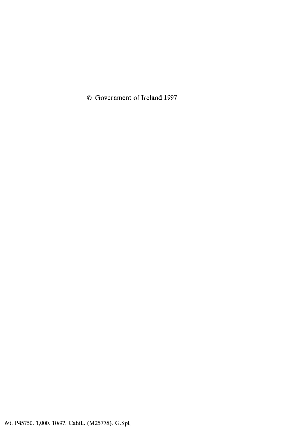O Government of Ireland 1997

 $\hat{\boldsymbol{\beta}}$ 

Wt. P45750. 1,000. 10197. Cahill. (M25778). **G.Spl.** 

 $\mathcal{A}^{\mathcal{A}}$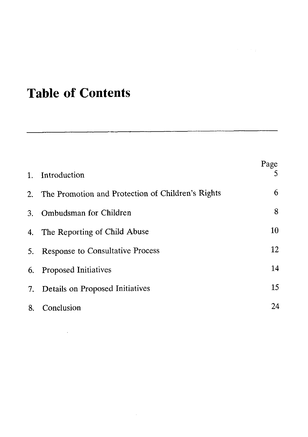## **Table of Contents**

 $\sim 10^{11}$  km

| 1.             | Introduction                                         | Page |
|----------------|------------------------------------------------------|------|
|                | 2. The Promotion and Protection of Children's Rights | 6    |
| 3 <sub>1</sub> | <b>Ombudsman for Children</b>                        | 8    |
|                | 4. The Reporting of Child Abuse                      | 10   |
| 5.             | <b>Response to Consultative Process</b>              | 12   |
| 6.             | <b>Proposed Initiatives</b>                          | 14   |
|                | 7. Details on Proposed Initiatives                   | 15   |
| 8.             | Conclusion                                           | 24   |

 $\mathcal{A}^{\mathcal{A}}$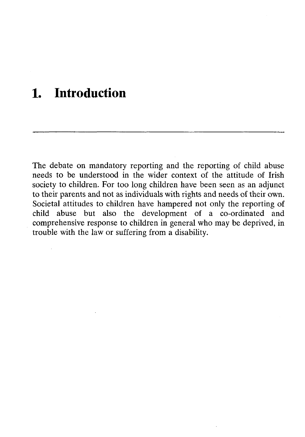## **1. Introduction**

The debate on mandatory reporting and the reporting of child abuse needs to be understood in the wider context of the attitude of Irish society to children. For too long children have been seen as an adjunct to their parents and not as individuals with rights and needs of their own. Societal attitudes to children have hampered not only the reporting of child abuse but also the development of a co-ordinated and comprehensive response to children in general who may be deprived, in trouble with the law or suffering from a disability.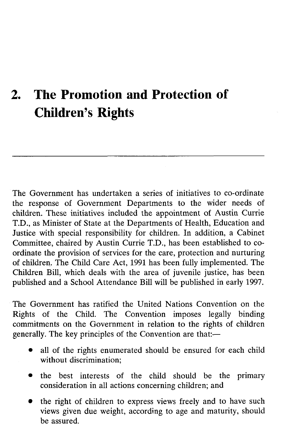# **2. The Promotion and Protection of Children's Rights**

The Government has undertaken a series of initiatives to co-ordinate the response of Government Departments to the wider needs of children. These initiatives included the appointment of Austin Currie T.D., as Minister of State at the Departments of Health, Education and Justice with special responsibility for children. In addition, a Cabinet Committee, chaired by Austin Currie T.D., has been established to coordinate the provision of services for the care, protection and nurturing of children. The Child Care Act, 1991 has been fully implemented. The Children Bill, which deals with the area of juvenile justice, has been published and a School Attendance Bill will be published in early 1997.

The Government has ratified the United Nations Convention on the Rights of the Child. The Convention imposes legally binding commitments on the Government in relation to the rights of children generally. The key principles of the Convention are that:-

- all of the rights enumerated should be ensured for each child  $\bullet$ without discrimination;
- the best interests of the child should be the primary consideration in all actions concerning children; and
- the right of children to express views freely and to have such views given due weight, according to age and maturity, should be assured.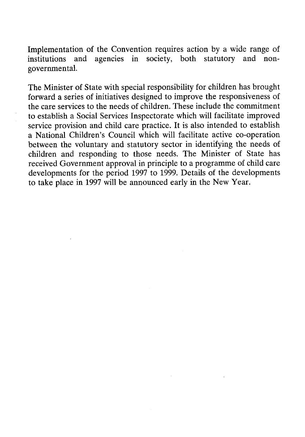Implementation of the Convention requires action by a wide range of institutions and agencies in society, both statutory and nongovernmental.

The Minister of State with special responsibility for children has brought forward a series of initiatives designed to improve the responsiveness of the care services to the needs of children. These include the commitment to establish a Social Services Inspectorate which will facilitate improved service provision and child care practice. It is also intended to establish a National Children's Council which will facilitate active co-operation between the voluntary and statutory sector in identifying the needs of children and responding to those needs. The Minister of State has received Government approval in principle to a programme of child care developments for the period 1997 to 1999. Details of the developments to take place in 1997 will be announced early in the New Year.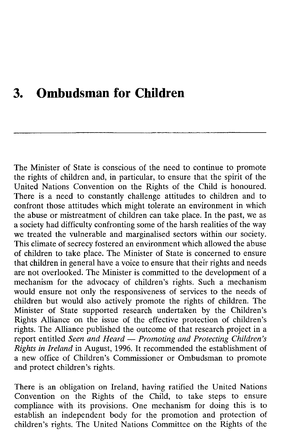## **3. Ombudsman for Children**

The Minister of State is conscious of the need to continue to promote the rights of children and, in particular, to ensure that the spirit of the United Nations Convention on the Rights of the Child is honoured. There is a need to constantly challenge attitudes to children and to confront those attitudes which might tolerate an environment in which the abuse or mistreatment of children can take place. In the past, we as a society had difficulty confronting some of the harsh realities of the way we treated the vulnerable and marginalised sectors within our society. This climate of secrecy fostered an environment which allowed the abuse of children to take place. The Minister of State is concerned to ensure that children in general have a voice to ensure that their rights and needs are not overlooked. The Minister is committed to the development of a mechanism for the advocacy of children's rights. Such a mechanism would ensure not only the responsiveness of services to the needs of children but would also actively promote the rights of children. The Minister of State supported research undertaken by the Children's Rights Alliance on the issue of the effective protection of children's rights. The Alliance published the outcome of that research project in a report entitled Seen and Heard - Promoting and Protecting Children's *Rights in Ireland* in August, *1996.* It recommended the establishment of a new office of Children's Commissioner or Ombudsman to promote and protect children's rights.

There is an obligation on Ireland, having ratified the United Nations Convention on the Rights of the Child, to take steps to ensure compliance with its provisions. One mechanism for doing this is to establish an independent body for the promotion and protection of children's rights. The United Nations Committee on the Rights of the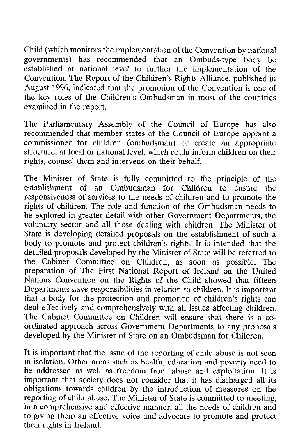Child (which monitors the implementation of the Convention by national governments) has recommended that an Ombuds-type body be established at national level to further the implementation of the Convention. The Report of the Children's Rights Alliance, published in August 1996, indicated that the promotion of the Convention is one of the key roles of the Children's Ombudsman in most of the countries examined in the report.

The Parliamentary Assembly of the Council of Europe has also recommended that member states of the Council of Europe appoint a commissioner for children (ombudsman) or create an appropriate structure, at local or national level, which could inform children on their rights, counsel them and intervene on their behalf.

The Minister of State is fully committed to the principle of the establishment of an Ombudsman for Children to ensure the responsiveness of services to the needs of children and to promote the rights of children. The role and function of the Ombudsman needs to be explored in greater detail with other Government Departments, the voluntary sector and all those dealing with children. The Minister of State is developing detailed proposals on the establishment of such a body to promote and protect children's rights. It is intended that the detailed proposals developed by the Minister of State will be referred to the Cabinet Committee on Children, as soon as possible. The preparation of The First National Report of Ireland on the United Nations Convention on the Rights of the Child showed that fifteen Departments have responsibilities in relation to children. It is important that a body for the protection and promotion of children's rights can deal effectively and comprehensively with all issues affecting children. The Cabinet Committee on Children will ensure that there is a coordinated approach across Government Departments to any proposals developed by the Minister of State on an Ombudsman for Children.

It is important that the issue of the reporting of child abuse is not seen in isolation. Other areas such as health, education and poverty need to be addressed as well as freedom from abuse and exploitation. It is important that society does not consider that it has discharged all its obligations towards children by the introduction of measures on the reporting of child abuse. The Minister of State is committed to meeting, in a comprehensive and effective manner, all the needs of children and to giving them an effective voice and advocate to promote and protect their rights in Ireland.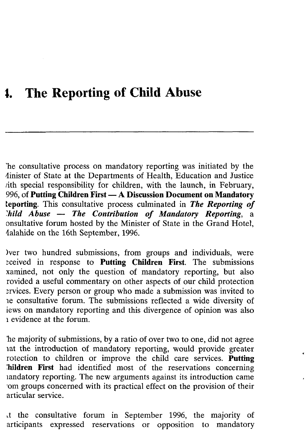## **1. The Reporting of Child Abuse**

'he consultative process on mandatory reporting was initiated by the dinister of State at the Departments of Health, Education and Justice ~ith special responsibility for children, with the launch, in February, Innster of State at the Departments of Health, Education and Justice<br>
ith special responsibility for children, with the launch, in February,<br>
996, of **Putting Children First** — **A Discussion Document on Mandatory leporting.** This consultative process culminated in The Reporting of 996, of Putting Children First  $-A$  Discussion Document on Mandatory leporting. This consultative process culminated in *The Reporting of Inild Abuse*  $-$  *The Contribution of Mandatory Reporting*, a onsultative forum hosted by the Minister of State in the Grand Hotel, /lalahide on the 16th September, 1996.

) ver two hundred submissions, from groups and individuals, were xeived in response to **Putting Children First.** The submissions xamined, not only the question of mandatory reporting, but also rovided a useful commentary on other aspects of our child protection xvices. Every person or group who made a submission was invited to le consultative forum. The submissions reflected a wide diversity of iews on mandatory reporting and this divergence of opinion was also **1** evidence at the forum.

'he majority of submissions, by a ratio of over two to one, did not agree lat the introduction of mandatory reporting, would provide greater rotection to children or improve the child care services. **Putting lhildren First** had identified most of the reservations concerning iandatory reporting. The new arguments against its introduction came .om groups concerned with its practical effect on the provision of their articular service.

~t the consultative forum in September 1996, the majority of articipants expressed reservations or opposition to mandatory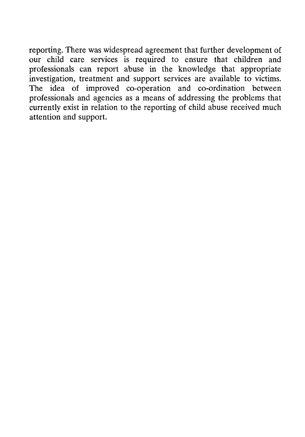reporting. There was widespread agreement that further development of our child care services is required to ensure that children and professionals can report abuse in the knowledge that appropriate investigation, treatment and support services are available to victims. The idea of improved co-operation and co-ordination between professionals and agencies as a means of addressing the problems that currently exist in relation to the reporting of child abuse received much attention and support.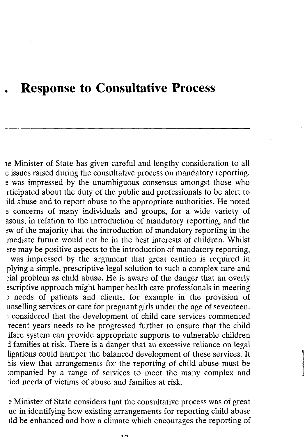## **. Response to Consultative Process**

le Minister of State has given careful and lengthy consideration to all e issues raised during the consultative process on mandatory reporting. e issues raised during the consultative process on mandatory reporting.<br>
E was impressed by the unambiguous consensus amongst those who rticipated about the duty of the public and professionals to be alert to ild abuse and to report abuse to the appropriate authorities. He noted  $e$  concerns of many individuals and groups, for a wide variety of asons, in relation to the introduction of mandatory reporting, and the :w of the majority that the introduction of mandatory reporting in the mediate future would not be in the best interests of children. Whilst Example positive aspects to the introduction of mandatory reporting, was impressed by the argument that great caution is required in

plying a simple, prescriptive legal solution to such a complex care and :ial problem as child abuse. He is aware of the danger that an overly escriptive approach might hamper health care professionals in meeting : needs of patients and clients, for example in the provision of unselling services or care for pregnant girls under the age of seventeen. : considered that the development of child care services commenced recent years needs to be progressed further to ensure that the child lfare system can provide appropriate supports to vulnerable children **d** families at risk. There is a danger that an excessive reliance on legal ligations could hamper the balanced development of these services. It his view that arrangements for the reporting of child abuse must be :ompanied by a range of services to meet the many complex and ied needs of victims of abuse and families at risk.

e Minister of State considers that the consultative process was of great ue in identifying how existing arrangements for reporting child abuse 11d be enhanced and how a climate which encourages the reporting of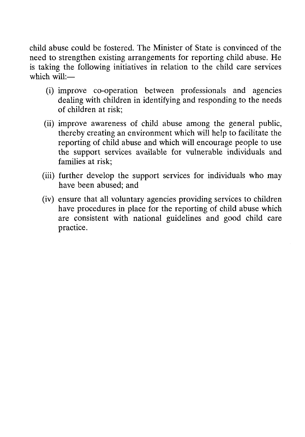child abuse could be fostered. The Minister of State is convinced of the need to strengthen existing arrangements for reporting child abuse. He is taking the following initiatives in relation to the child care services which will: $-$ 

- (i) improve co-operation between professionals and agencies dealing with children in identifying and responding to the needs of children at risk;
- (ii) improve awareness of child abuse among the general public, thereby creating an environment which will help to facilitate the reporting of child abuse and which will encourage people to use the support services available for vulnerable individuals and families at risk;
- (iii) further develop the support services for individuals who may have been abused; and
- (iv) ensure that all voluntary agencies providing services to children have procedures in place for the reporting of child abuse which are consistent with national guidelines and good child care practice.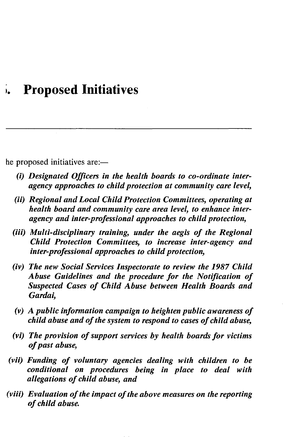## . **Proposed Initiatives**

he proposed initiatives are:—

- *(i) Designated Oflcers in the health boards to co-ordinate interagency approaches to child protection at community care level,*
- *(ii) Regional and Local Child Protection Committees, operating at health board and community care area level, to enhance interagency and inter-professional approaches to child protection,*
- *(iii) Multi-disciplinary training, under the aegis of the Regional Child Protection Committees, to increase inter-agency and inter-professional approaches to child protection,*
- *(iv) The new Social Services Inspectorate to review the 1987 Child Abuse Guidelines and the procedure for the Notification of Suspected Cases of Child Abuse between Health Boards and Gardai,*
- *(v) A public information campaign to heighten public awareness of child abuse and of the system to respond to cases of child abuse,*
- *(vi) The provision of support services by health boards for victims of past abuse,*
- *(vii) Funding of voluntary agencies dealing with children to be conditional on procedures being in place to deal with allegations of child abuse, and*
- *(viii) Evaluation of the impact of the above measures on the reporting of child abuse.*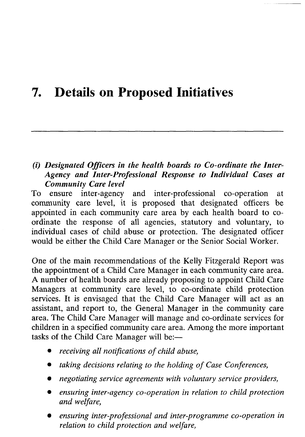## **Details on Proposed Initiatives**

#### *(i) Designated Officers in the health boards to Co-ordinate the Inter-Agency and Inter-Professional Response to Individual Cases at Community Care level*

To ensure inter-agency and inter-professional co-operation at community care level, it is proposed that designated officers be appointed in each community care area by each health board to coordinate the response of all agencies, statutory and voluntary, to individual cases of child abuse or protection. The designated officer would be either the Child Care Manager or the Senior Social Worker.

One of the main recommendations of the Kelly Fitzgerald Report was the appointment of a Child Care Manager in each community care area. **A** number of health boards are already proposing to appoint Child Care Managers at community care level, to co-ordinate child protection services. It is envisaged that the Child Care Manager will act as an assistant, and report to, the General Manager in the community care area. The Child Care Manager will manage and co-ordinate services for children in a specified community care area. Among the more important tasks of the Child Care Manager will be:-

- $r$  *receiving all notifications of child abuse,*
- *taking decisions relating to the holding of Case Conferences,*
- *negotiating service agreements with voluntary service providers,*
- *ensuring inter-agency co-operation in relation to child protection and welfare,*
- *ensuring inter-professional and inter-programme co-operation in relation to child protection and welfare,*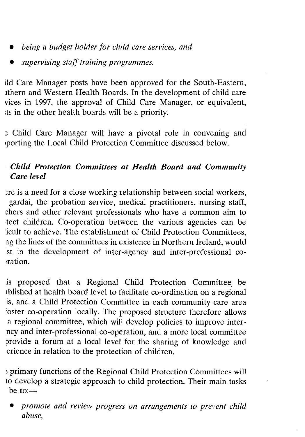- *being a budget holder for child care services, and*
- *supervising staff training programmes.*

ild Care Manager posts have been approved for the South-Eastern, lthern and Western Health Boards. In the development of child care vices in 1997, the approval of Child Care Manager, or equivalent, its in the other health boards will be a priority.

: Child Care Manager will have a pivotal role in convening and lporting the Local Child Protection Committee discussed below.

### *Child Protection Committees at Health Board and Community Care level*

:re is a need for a close working relationship between social workers, gardai, the probation service, medical practitioners, nursing staff, chers and other relevant professionals who have a common aim to tect children. Co-operation between the various agencies can be 'icult to achieve. The establishment of Child Protection Committees, ng the lines of the committees in existence in Northern Ireland, would ist in the development of inter-agency and inter-professional co-:ration.

is proposed that a Regional Child Protection Committee be iblished at health board level to facilitate co-ordination on a regional is, and a Child Protection Committee in each community care area loster co-operation locally. The proposed structure therefore allows a regional committee, which will develop policies to improve interncy and inter-professional co-operation, and a more local committee provide a forum at a local level for the sharing of knowledge and erience in relation to the protection of children.

: primary functions of the Regional Child Protection Committees will to develop a strategic approach to child protection. Their main tasks be to: $-$ 

\* *promote and review progress on arrangements to prevent child abuse,*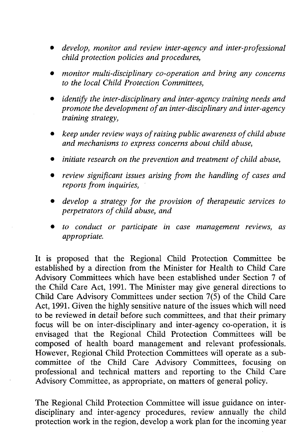- *develop, monitor and review inter-agency and inter-professional child protection policies and procedures,*
- *monitor multi-disciplinary co-operation and bring any concerns to the local Child Protection Committees,*
- *identify the inter-disciplinary and inter-agency training needs and promote the development of an inter-disciplinary and inter-agency training strategy,*
- *keep under review ways of raising public awareness of child abuse and mechanisms to express concerns about child abuse,*
- *initiate research on the prevention and treatment of child abuse,*
- *review significant issties arising from the handling of cases and reports fiom inquiries,*
- *develop a strategy for the provision of therapeutic services to perpetrators of child abuse, and*
- *to conduct or participate in case management reviews, as appropriate.*

It is proposed that the Regional Child Protection Committee be established by a direction from the Minister for Health to Child Care Advisory Committees which have been established under Section 7 of the Child Care Act, 1991. The Minister may give general directions to Child Care Advisory Committees under section *7(5)* of the Child Care Act, 1991. Given the highly sensitive nature of the issues which will need to be reviewed in detail before such committees, and that their primary focus will be on inter-disciplinary and inter-agency co-operation, it is envisaged that the Regional Child Protection Committees will be composed of health board management and relevant professionals. However, Regional Child Protection Committees will operate as a subcommittee of the Child Care Advisory committees, focusing on professional and technical matters and reporting to the Child Care Advisory Committee, as appropriate, on matters of general policy.

The Regional Child Protection Committee will issue guidance on interdisciplinary and inter-agency procedures, review annually the child protection work in the region, develop a work plan for the incoming year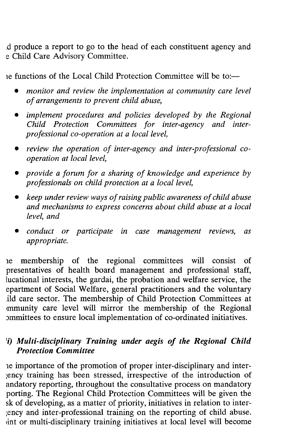.d produce a report to go to the head of each constituent agency and e Child Care Advisory Committee.

le functions of the Local Child Protection Committee will be to:—

- *monitor and review the implementation at community care level of arrangements to prevent child abuse,*
- *implement procedures and policies developed by the Regional Child Protection Committees for inter-agency and interprofessional co-operation at a local level,*
- *review the operation of inter-agency and inter-professional cooperation at local level,*
- *provide a forum for a sharing of knowledge and experience by professionals on child protection at a local level,*
- *keep under review ways of raising public awareness of child abuse and mechanisms to express concerns about child abuse at a local level, and*
- *conduct or participate in case management reviews, as*   $\bullet$ *appropriate.*

ie membership of the regional committees will consist of presentatives of health board management and professional staff, lucational interests, the gardai, the probation and welfare service, the epartment of Social Welfare, general practitioners and the voluntary .ild care sector. The membership of Child Protection Committees at Immunity care level will mirror the membership of the Regional 3mmittees to ensure local implementation of co-ordinated initiatives.

#### *Y) Multi-disciplinary Training under aegis of the Regional Child Protection Committee*

le importance of the promotion of proper inter-disciplinary and interiency training has been stressed, irrespective of the introduction of andatory reporting, throughout the consultative process on mandatory porting. The Regional Child Protection Committees will be given the sk of developing, as a matter of priority, initiatives in relation to inter- ;ency and inter-professional training on the reporting of child abuse. lint or multi-disciplinary training initiatives at local level will become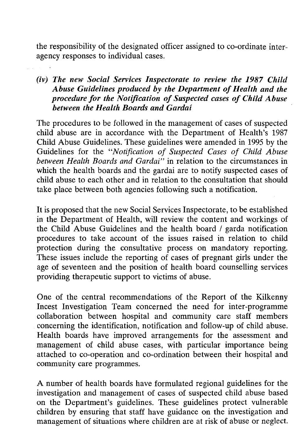the responsibility of the designated officer assigned to co-ordinate interagency responses to individual cases.

#### *(iv) The new Social Services Inspectorate to review the 1987 Child Abuse Guidelines produced by the Department of Health and the procedure for the Notification of Suspected cases of Child Abuse between the Health Boards and Gardai*

The procedures to be followed in the management of cases of suspected child abuse are in accordance with the Department of Health's 1987 Child Abuse Guidelines. These guidelines were amended in 1995 by the Guidelines for the *"Notification of Suspected Cases of Child Abuse between Health Boards and Gardai"* in relation to the circumstances in which the health boards and the gardai are to notify suspected cases of child abuse to each other and in relation to the consultation that should take place between both agencies following such a notification.

It is proposed that the new Social Services Inspectorate, to be established in the Department of Health, will review the content and workings of the Child Abuse Guidelines and the health board / garda notification procedures to take account of the issues raised in relation to child protection during the consultative process on mandatory reporting. These issues include the reporting of cases of pregnant girls under the age of seventeen and the position of health board counselling services providing therapeutic support to victims of abuse.

One of the central recommendations of the Report of the Kilkenny Incest Investigation Team concerned the need for inter-programme collaboration between hospital and community care staff members concerning the identification, notification and follow-up of child abuse. Health boards have improved arrangements for the assessment and management of child abuse cases, with particular importance being attached to co-operation and co-ordination between their hospital and community care programmes.

A number of health boards have formulated regional guidelines for the investigation and management of cases of suspected child abuse based on the Department's guidelines. These guidelines protect vulnerable children by ensuring that staff have guidance on the investigation and management of situations where children are at risk of abuse or neglect.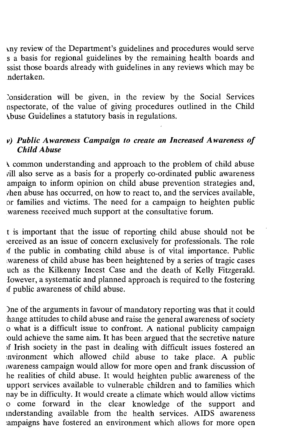my review of the Department's guidelines and procedures would serve s a basis for regional guidelines by the remaining health boards and ssist those boards already with guidelines in any reviews which may be ndertaken.

:onsideration will be given, in the review by the Social Services nspectorate, of the value of giving procedures outlined in the Child ibuse Guidelines a statutory basis in regulations.

#### *v) Public Awareness Campaign to create an Increased Awareness of Child Abuse*

i common understanding and approach to the problem of child abuse vill also serve as a basis for a properly co-ordinated public awareness ampaign to inform opinion on child abuse prevention strategies and, vhen abuse has occurred, on how to react to, and the services available, or families and victims. The need for a campaign to heighten public .wareness received much support at the consultative forum.

t is important that the issue of reporting child abuse should not be ,erceived as an issue of concern exclusively for professionals. The role ,f the public in combating child abuse is of vital importance. Public Lwareness of child abuse has been heightened by a series of tragic cases uch as the Kilkenny Incest Case and the death of Kelly Fitzgerald. lowever, a systematic and planned approach is required to the fostering )f public awareness of child abuse.

he of the arguments in favour of mandatory reporting was that it could hange attitudes to child abuse and raise the general awareness of society o what is a difficult issue to confront. A national publicity campaign ould achieve the same aim. It has been argued that the secretive nature )f Irish society in the past in dealing with difficult issues fostered an mvironment which allowed child abuse to take place. A public iwareness campaign would allow for more open and frank discussion of he realities of child abuse. It would heighten public awareness of the upport services available to vulnerable children and to families which nay be in difficulty. It would create a climate which would allow victims o come forward in the clear knowledge of the support and inderstanding available from the health services. AIDS awareness :ampaips have fostered an environment which allows for more open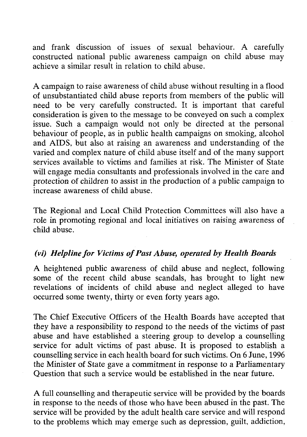and frank discussion of issues of sexual behaviour. A carefully constructed national public awareness campaign on child abuse may achieve a similar result in relation to child abuse.

A campaign to raise awareness of child abuse without resulting in a flood of unsubstantiated child abuse reports from members of the public will need to be very carefully constructed. It is important that careful consideration is given to the message to be conveyed on such a complex issue. Such a campaign would not only be directed at the personal behaviour of people, as in public health campaigns on smoking, alcohol and AIDS, but also at raising an awareness and understanding of the varied and complex nature of child abuse itself and of the many support services available to victims and families at risk. The Minister of State will engage media consultants and professionals involved in the care and protection of children to assist in the production of a public campaign to increase awareness of child abuse.

The Regional and Local Child Protection Committees will also have a role in promoting regional and local initiatives on raising awareness of child abuse.

### *(vi) Helpline for Victims of Past Abuse, operated by Health Boards*

A heightened public awareness of child abuse and neglect, following some of the recent child abuse scandals, has brought to light new revelations of incidents of child abuse and neglect alleged to have occurred some twenty, thirty or even forty years ago.

The Chief Executive Officers of the Health Boards have accepted that they have a responsibility to respond to the needs of the victims of past abuse and have established a steering group to develop a counselling service for adult victims of past abuse. It is proposed to establish a counselling service in each health board for such victims. On 6 June, 1996 the Minister of State gave a commitment in response to a Parliamentary Question that such a service would be established in the near future.

**A** full counselling and therapeutic service will be provided by the boards in response to the needs of those who have been abused in the past. The service will be provided by the adult health care service and will respond to the problems which may emerge such as depression, guilt, addiction,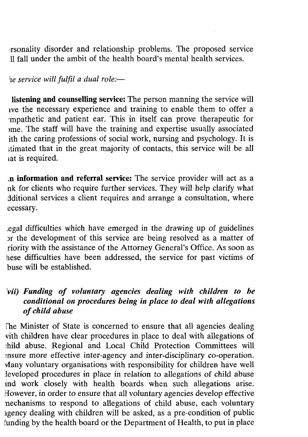:rsonality disorder and relationship problems. The proposed service .ll fall under the ambit of the health board's mental health services.

*he service will fulfil a dual role:—* 

**listening and counselling service:** The person manning the service will ive the necessary experience and training to enable them to offer a rmpathetic and patient ear. This in itself can prove therapeutic for )me. The staff will have the training and expertise usually associated ith the caring professions of social work, nursing and psychology. It is ;timated that in the great majority of contacts, this service will be all iat is required.

**.n information and referral service:** The service provider will act as a nk for clients who require further services. They will help clarify what dditional services a client requires and arrange a consultation, where ecessary.

,egal difficulties which have emerged in the drawing up of guidelines or the development of this service are being resolved as a matter of riority with the assistance of the Attorney General's Office. As soon as hese difficulties have been addressed, the service for past victims of buse will be established.

### *vii) Funding of voluntary agencies dealing with children to be conditional on procedures being in place to deal with allegations of child abuse*

The Minister of State is concerned to ensure that all agencies dealing vith children have clear procedures in place to deal with allegations of :hild abuse. Regional and Local Child Protection Committees will mure more effective inter-agency and inter-disciplinary co-operation. viany voluntary organisations with responsibility for children have well ieveloped procedures in place in relation to allegations of child abuse ind work closely with health boards when such allegations arise. However, in order to ensure that all voluntary agencies develop effective nechanisms to respond to allegations of child abuse, each voluntary agency dealing with children will be asked, as a pre-condition of public funding by the health board or the Department of Health, to put in place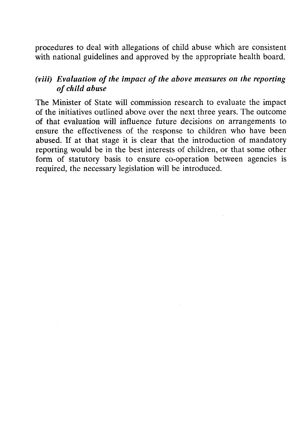procedures to deal with allegations of child abuse which are consistent with national guidelines and approved by the appropriate health board.

### *(viii) Evaluation of the impact of the above measures on the reporting of child abuse*

The Minister of State will commission research to evaluate the impact of the initiatives outlined above over the next three years. The outcome of that evaluation will influence future decisions on arrangements to ensure the effectiveness of the response to children who have been abused. If at that stage it is clear that the introduction of mandatory reporting would be in the best interests of children, or that some other form of statutory basis to ensure co-operation between agencies is required, the necessary legislation will be introduced.